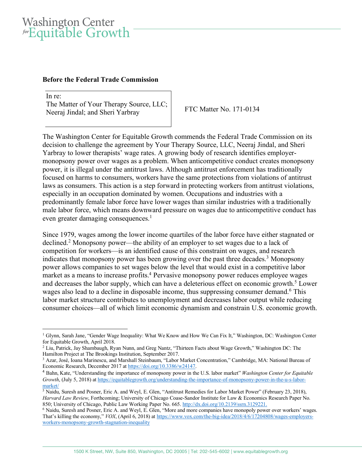## Washington Center *for* Equitable Growth

## **Before the Federal Trade Commission**

In re<sup>-</sup> The Matter of Your Therapy Source, LLC; Neeraj Jindal; and Sheri Yarbray FTC Matter No. 171-0134

The Washington Center for Equitable Growth commends the Federal Trade Commission on its decision to challenge the agreement by Your Therapy Source, LLC, Neeraj Jindal, and Sheri Yarbray to lower therapists' wage rates. A growing body of research identifies employermonopsony power over wages as a problem. When anticompetitive conduct creates monopsony power, it is illegal under the antitrust laws. Although antitrust enforcement has traditionally focused on harms to consumers, workers have the same protections from violations of antitrust laws as consumers. This action is a step forward in protecting workers from antitrust violations, especially in an occupation dominated by women. Occupations and industries with a predominantly female labor force have lower wages than similar industries with a traditionally male labor force, which means downward pressure on wages due to anticompetitive conduct has even greater damaging consequences.<sup>1</sup>

Since 1979, wages among the lower income quartiles of the labor force have either stagnated or declined.2 Monopsony power—the ability of an employer to set wages due to a lack of competition for workers—is an identified cause of this constraint on wages, and research indicates that monopsony power has been growing over the past three decades.<sup>3</sup> Monopsony power allows companies to set wages below the level that would exist in a competitive labor market as a means to increase profits.<sup>4</sup> Pervasive monopsony power reduces employee wages and decreases the labor supply, which can have a deleterious effect on economic growth.<sup>5</sup> Lower wages also lead to a decline in disposable income, thus suppressing consumer demand.<sup>6</sup> This labor market structure contributes to unemployment and decreases labor output while reducing consumer choices—all of which limit economic dynamism and constrain U.S. economic growth.

 $\overline{a}$ <sup>1</sup> Glynn, Sarah Jane, "Gender Wage Inequality: What We Know and How We Can Fix It," Washington, DC: Washington Center for Equitable Growth, April 2018.

<sup>2</sup> Liu, Patrick, Jay Shambaugh, Ryan Nunn, and Greg Nantz, "Thirteen Facts about Wage Growth," Washington DC: The Hamilton Project at The Brookings Institution, September 2017.<br><sup>3</sup> Azar, José, Ioana Marinescu, and Marshall Steinbaum, "Labor Market Concentration," Cambridge, MA: National Bureau of

Economic Research, December 2017 at https://doi.org/10.3386/w24147.

<sup>4</sup> Bahn, Kate, "Understanding the importance of monopsony power in the U.S. labor market" *Washington Center for Equitable Growth*, (July 5, 2018) at https://equitablegrowth.org/understanding-the-importance-of-monopsony-power-in-the-u-s-labormarket/

<sup>5</sup> Naidu, Suresh and Posner, Eric A. and Weyl, E. Glen, "Antitrust Remedies for Labor Market Power" (February 23, 2018), *Harvard Law Review*, Forthcoming; University of Chicago Coase-Sandor Institute for Law & Economics Research Paper No. 850; University of Chicago, Public Law Working Paper No. 665. http://dx.doi.org/10.2139/ssrn.3129221.

<sup>6</sup> Naidu, Suresh and Posner, Eric A. and Weyl, E. Glen, "More and more companies have monopoly power over workers' wages. That's killing the economy," *VOX*, (April 6, 2018) at https://www.vox.com/the-big-idea/2018/4/6/17204808/wages-employersworkers-monopsony-growth-stagnation-inequality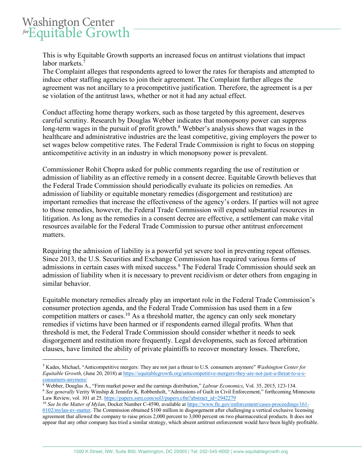## Washington Center *for* Equitable Growth

This is why Equitable Growth supports an increased focus on antitrust violations that impact labor markets. 7

The Complaint alleges that respondents agreed to lower the rates for therapists and attempted to induce other staffing agencies to join their agreement. The Complaint further alleges the agreement was not ancillary to a procompetitive justification. Therefore, the agreement is a per se violation of the antitrust laws, whether or not it had any actual effect.

Conduct affecting home therapy workers, such as those targeted by this agreement, deserves careful scrutiny. Research by Douglas Webber indicates that monopsony power can suppress long-term wages in the pursuit of profit growth.<sup>8</sup> Webber's analysis shows that wages in the healthcare and administrative industries are the least competitive, giving employers the power to set wages below competitive rates. The Federal Trade Commission is right to focus on stopping anticompetitive activity in an industry in which monopsony power is prevalent.

Commissioner Rohit Chopra asked for public comments regarding the use of restitution or admission of liability as an effective remedy in a consent decree. Equitable Growth believes that the Federal Trade Commission should periodically evaluate its policies on remedies. An admission of liability or equitable monetary remedies (disgorgement and restitution) are important remedies that increase the effectiveness of the agency's orders. If parties will not agree to those remedies, however, the Federal Trade Commission will expend substantial resources in litigation. As long as the remedies in a consent decree are effective, a settlement can make vital resources available for the Federal Trade Commission to pursue other antitrust enforcement matters.

Requiring the admission of liability is a powerful yet severe tool in preventing repeat offenses. Since 2013, the U.S. Securities and Exchange Commission has required various forms of admissions in certain cases with mixed success.<sup>9</sup> The Federal Trade Commission should seek an admission of liability when it is necessary to prevent recidivism or deter others from engaging in similar behavior.

Equitable monetary remedies already play an important role in the Federal Trade Commission's consumer protection agenda, and the Federal Trade Commission has used them in a few competition matters or cases. <sup>10</sup> As a threshold matter, the agency can only seek monetary remedies if victims have been harmed or if respondents earned illegal profits. When that threshold is met, the Federal Trade Commission should consider whether it needs to seek disgorgement and restitution more frequently. Legal developments, such as forced arbitration clauses, have limited the ability of private plaintiffs to recover monetary losses. Therefore,

 <sup>7</sup> Kades, Michael, "Anticompetitive mergers: They are not just a threat to U.S. consumers anymore" *Washington Center for Equitable Growth*, (June 20, 2018) at https://equitablegrowth.org/anticompetitive-mergers-they-are-not-just-a-threat-to-u-sconsumers-anymore/

<sup>&</sup>lt;sup>8</sup> Webber, Douglas A., "Firm market power and the earnings distribution," *Labour Economics*, Vol. 35, 2015, 123-134.<br><sup>9</sup> See generally Verity Winship & Jennifer K. Robbenholt, "Admissions of Guilt in Civil Enforcement," Law Review, vol. 101 at 25. https://papers.ssrn.com/sol3/papers.cfm?abstract\_id=2942279

<sup>10</sup> *See In the Matter of Mylan*, Docket Number C-4590, available at https://www.ftc.gov/enforcement/cases-proceedings/161- 0102/mylan-nv-matter. The Commission obtained \$100 million in disgorgement after challenging a vertical exclusive licensing agreement that allowed the company to raise prices 2,000 percent to 3,000 percent on two pharmaceutical products. It does not appear that any other company has tried a similar strategy, which absent antitrust enforcement would have been highly profitable.